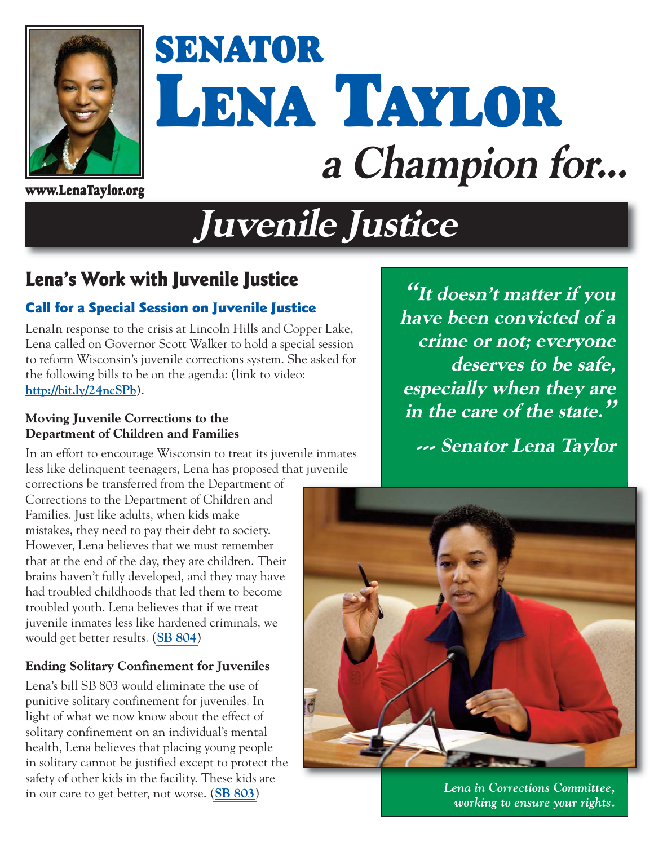

# **SENATOR LENA TAYLOR a Champion for...**

**www.LenaTaylor.org**

# **Juvenile Justice**

### **Lena's Work with Juvenile Justice**

#### **Call for a Special Session on Juvenile Justice**

LenaIn response to the crisis at Lincoln Hills and Copper Lake, Lena called on Governor Scott Walker to hold a special session to reform Wisconsin's juvenile corrections system. She asked for the following bills to be on the agenda: (link to video: **http://bit.ly/24ncSPb**).

#### **Moving Juvenile Corrections to the Department of Children and Families**

In an effort to encourage Wisconsin to treat its juvenile inmates less like delinquent teenagers, Lena has proposed that juvenile

corrections be transferred from the Department of Corrections to the Department of Children and Families. Just like adults, when kids make mistakes, they need to pay their debt to society. However, Lena believes that we must remember that at the end of the day, they are children. Their brains haven't fully developed, and they may have had troubled childhoods that led them to become troubled youth. Lena believes that if we treat juvenile inmates less like hardened criminals, we would get better results. (**[SB 804](http://docs.legis.wisconsin.gov/2015/proposals/SB804)**)

#### **Ending Solitary Confinement for Juveniles**

Lena's bill SB 803 would eliminate the use of punitive solitary confinement for juveniles. In light of what we now know about the effect of solitary confinement on an individual's mental health, Lena believes that placing young people in solitary cannot be justified except to protect the safety of other kids in the facility. These kids are in our care to get better, not worse. (**[SB 803](http://docs.legis.wisconsin.gov/2015/proposals/SB803)**)

**"It doesn't matter if you have been convicted of a crime or not; everyone deserves to be safe, especially when they are in the care of the state."**

**--- Senator Lena Taylor** 



*Lena in Corrections Committee, working to ensure your rights.*